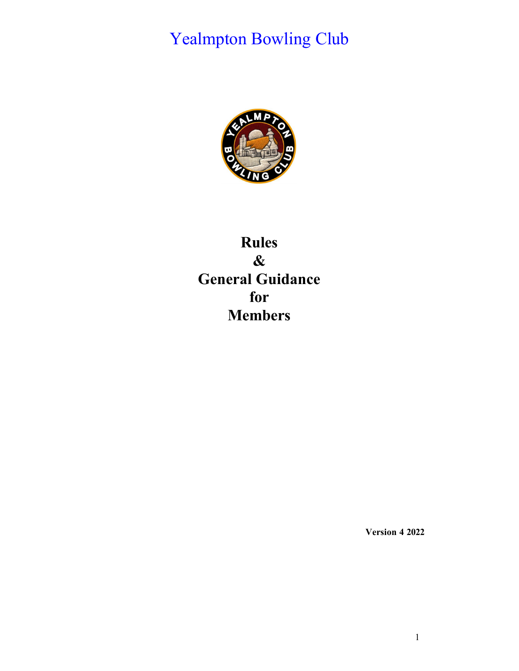# Yealmpton Bowling Club



# **Rules & General Guidance for Members**

**Version 4 2022**

1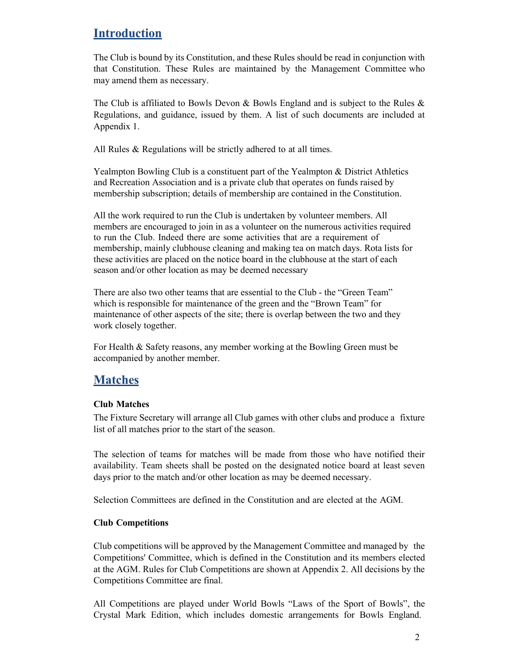# **Introduction**

The Club is bound by its Constitution, and these Rules should be read in conjunction with that Constitution. These Rules are maintained by the Management Committee who may amend them as necessary.

The Club is affiliated to Bowls Devon & Bowls England and is subject to the Rules  $\&$ Regulations, and guidance, issued by them. A list of such documents are included at Appendix 1.

All Rules & Regulations will be strictly adhered to at all times.

Yealmpton Bowling Club is a constituent part of the Yealmpton & District Athletics and Recreation Association and is a private club that operates on funds raised by membership subscription; details of membership are contained in the Constitution.

All the work required to run the Club is undertaken by volunteer members. All members are encouraged to join in as a volunteer on the numerous activities required to run the Club. Indeed there are some activities that are a requirement of membership, mainly clubhouse cleaning and making tea on match days. Rota lists for these activities are placed on the notice board in the clubhouse at the start of each season and/or other location as may be deemed necessary

There are also two other teams that are essential to the Club - the "Green Team" which is responsible for maintenance of the green and the "Brown Team" for maintenance of other aspects of the site; there is overlap between the two and they work closely together.

For Health & Safety reasons, any member working at the Bowling Green must be accompanied by another member.

# **Matches**

# **Club Matches**

The Fixture Secretary will arrange all Club games with other clubs and produce a fixture list of all matches prior to the start of the season.

The selection of teams for matches will be made from those who have notified their availability. Team sheets shall be posted on the designated notice board at least seven days prior to the match and/or other location as may be deemed necessary.

Selection Committees are defined in the Constitution and are elected at the AGM.

### **Club Competitions**

Club competitions will be approved by the Management Committee and managed by the Competitions' Committee, which is defined in the Constitution and its members elected at the AGM. Rules for Club Competitions are shown at Appendix 2. All decisions by the Competitions Committee are final.

All Competitions are played under World Bowls "Laws of the Sport of Bowls", the Crystal Mark Edition, which includes domestic arrangements for Bowls England.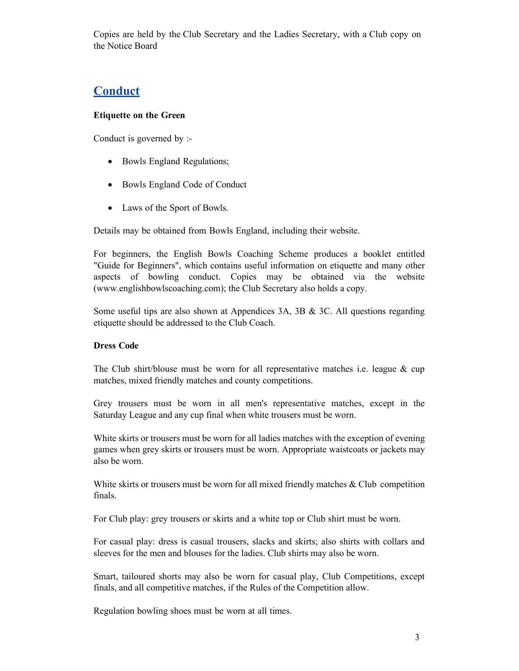Copies are held by the Club Secretary and the Ladies Secretary, with a Club copy on the Notice Board

# **Conduct**

# **Etiquette on the Green**

Conduct is governed by :-

- Bowls England Regulations;
- Bowls England Code of Conduct
- Laws of the Sport of Bowls.

Details may be obtained from Bowls England, including their website.

For beginners, the English Bowls Coaching Scheme produces a booklet entitled "Guide for Beginners", which contains useful information on etiquette and many other aspects of bowling conduct. Copies may be obtained via the website (www.englishbowlscoaching.com); the Club Secretary also holds a copy.

Some useful tips are also shown at Appendices 3A, 3B & 3C. All questions regarding etiquette should be addressed to the Club Coach.

### **Dress Code**

The Club shirt/blouse must be worn for all representative matches i.e. league  $\&$  cup matches, mixed friendly matches and county competitions.

Grey trousers must be worn in all men's representative matches, except in the Saturday League and any cup final when white trousers must be worn.

White skirts or trousers must be worn for all ladies matches with the exception of evening games when grey skirts or trousers must be worn. Appropriate waistcoats or jackets may also be worn.

White skirts or trousers must be worn for all mixed friendly matches & Club competition finals.

For Club play: grey trousers or skirts and a white top or Club shirt must be worn.

For casual play: dress is casual trousers, slacks and skirts; also shirts with collars and sleeves for the men and blouses for the ladies. Club shirts may also be worn.

Smart, tailoured shorts may also be worn for casual play, Club Competitions, except finals, and all competitive matches, if the Rules of the Competition allow.

Regulation bowling shoes must be worn at all times.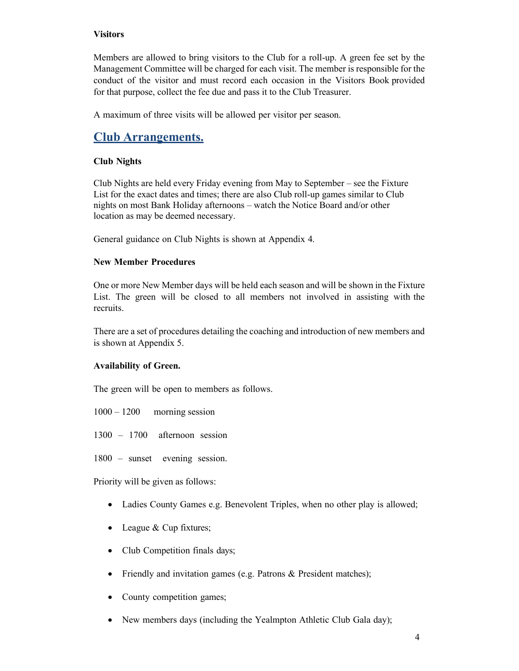## **Visitors**

Members are allowed to bring visitors to the Club for a roll-up. A green fee set by the Management Committee will be charged for each visit. The member is responsible for the conduct of the visitor and must record each occasion in the Visitors Book provided for that purpose, collect the fee due and pass it to the Club Treasurer.

A maximum of three visits will be allowed per visitor per season.

# **Club Arrangements.**

# **Club Nights**

Club Nights are held every Friday evening from May to September – see the Fixture List for the exact dates and times; there are also Club roll-up games similar to Club nights on most Bank Holiday afternoons – watch the Notice Board and/or other location as may be deemed necessary.

General guidance on Club Nights is shown at Appendix 4.

## **New Member Procedures**

One or more New Member days will be held each season and will be shown in the Fixture List. The green will be closed to all members not involved in assisting with the recruits.

There are a set of procedures detailing the coaching and introduction of new members and is shown at Appendix 5.

# **Availability of Green.**

The green will be open to members as follows.

 $1000 - 1200$  morning session

1300 – 1700 afternoon session

1800 – sunset evening session.

Priority will be given as follows:

- Ladies County Games e.g. Benevolent Triples, when no other play is allowed;
- League & Cup fixtures;
- Club Competition finals days;
- Friendly and invitation games (e.g. Patrons & President matches);
- County competition games;
- New members days (including the Yealmpton Athletic Club Gala day);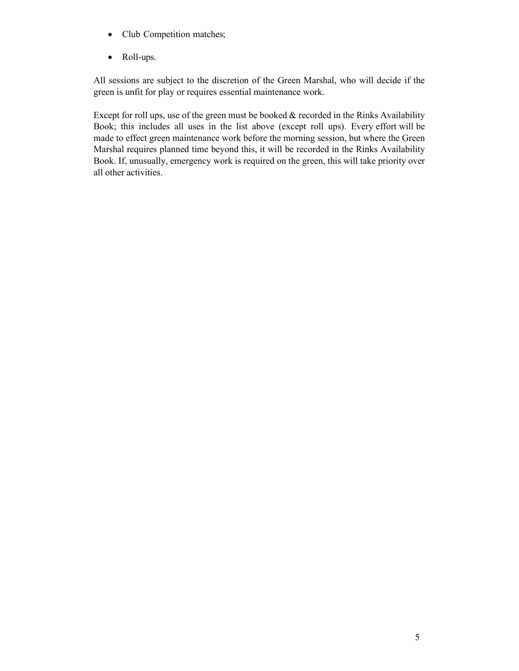- Club Competition matches;
- Roll-ups.

All sessions are subject to the discretion of the Green Marshal, who will decide if the green is unfit for play or requires essential maintenance work.

Except for roll ups, use of the green must be booked & recorded in the Rinks Availability Book; this includes all uses in the list above (except roll ups). Every effort will be made to effect green maintenance work before the morning session, but where the Green Marshal requires planned time beyond this, it will be recorded in the Rinks Availability Book. If, unusually, emergency work is required on the green, this will take priority over all other activities.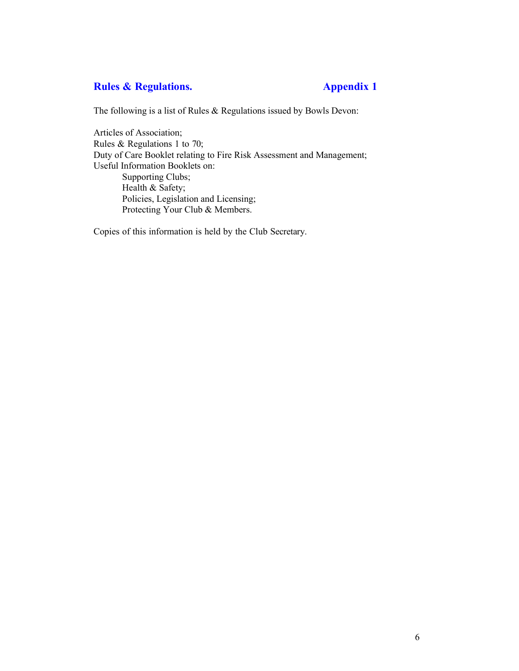# **Rules & Regulations. Appendix 1**

The following is a list of Rules & Regulations issued by Bowls Devon:

Articles of Association; Rules & Regulations 1 to 70; Duty of Care Booklet relating to Fire Risk Assessment and Management; Useful Information Booklets on: Supporting Clubs; Health & Safety; Policies, Legislation and Licensing; Protecting Your Club & Members.

Copies of this information is held by the Club Secretary.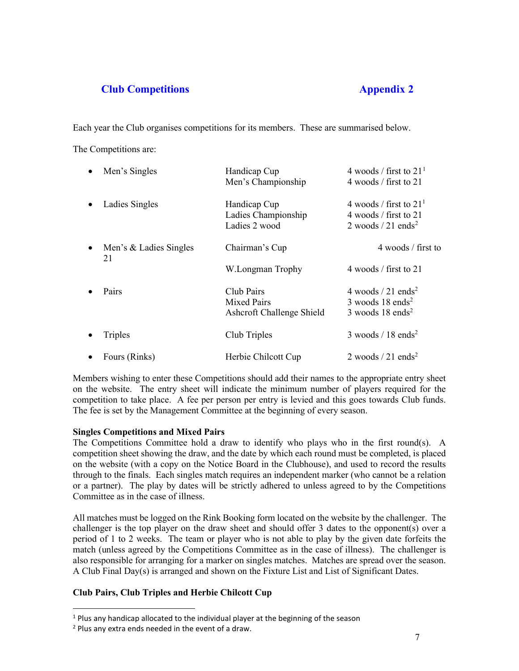# **Club Competitions Appendix 2**

Each year the Club organises competitions for its members. These are summarised below.

The Competitions are:

|           | $\bullet$ Men's Singles      | Handicap Cup              | 4 woods / first to $211$              |
|-----------|------------------------------|---------------------------|---------------------------------------|
|           |                              | Men's Championship        | 4 woods / first to 21                 |
| $\bullet$ | Ladies Singles               | Handicap Cup              | 4 woods / first to $211$              |
|           |                              | Ladies Championship       | 4 woods / first to 21                 |
|           |                              | Ladies 2 wood             | 2 woods $/21$ ends <sup>2</sup>       |
| $\bullet$ | Men's & Ladies Singles<br>21 | Chairman's Cup            | 4 woods / first to                    |
|           |                              | W.Longman Trophy          | 4 woods / first to 21                 |
| $\bullet$ | Pairs                        | Club Pairs                | 4 woods $/21$ ends <sup>2</sup>       |
|           |                              | <b>Mixed Pairs</b>        | $3$ woods 18 ends <sup>2</sup>        |
|           |                              | Ashcroft Challenge Shield | $3$ woods 18 ends <sup>2</sup>        |
| $\bullet$ | Triples                      | Club Triples              | $3 \text{ woods} / 18 \text{ ends}^2$ |
|           | • Fours (Rinks)              | Herbie Chilcott Cup       | 2 woods $/21$ ends <sup>2</sup>       |

Members wishing to enter these Competitions should add their names to the appropriate entry sheet on the website. The entry sheet will indicate the minimum number of players required for the competition to take place. A fee per person per entry is levied and this goes towards Club funds. The fee is set by the Management Committee at the beginning of every season.

### **Singles Competitions and Mixed Pairs**

The Competitions Committee hold a draw to identify who plays who in the first round(s). A competition sheet showing the draw, and the date by which each round must be completed, is placed on the website (with a copy on the Notice Board in the Clubhouse), and used to record the results through to the finals. Each singles match requires an independent marker (who cannot be a relation or a partner). The play by dates will be strictly adhered to unless agreed to by the Competitions Committee as in the case of illness.

All matches must be logged on the Rink Booking form located on the website by the challenger. The challenger is the top player on the draw sheet and should offer 3 dates to the opponent(s) over a period of 1 to 2 weeks. The team or player who is not able to play by the given date forfeits the match (unless agreed by the Competitions Committee as in the case of illness). The challenger is also responsible for arranging for a marker on singles matches. Matches are spread over the season. A Club Final Day(s) is arranged and shown on the Fixture List and List of Significant Dates.

# **Club Pairs, Club Triples and Herbie Chilcott Cup**

<span id="page-6-0"></span> $1$  Plus any handicap allocated to the individual player at the beginning of the season

<span id="page-6-1"></span> $2$  Plus any extra ends needed in the event of a draw.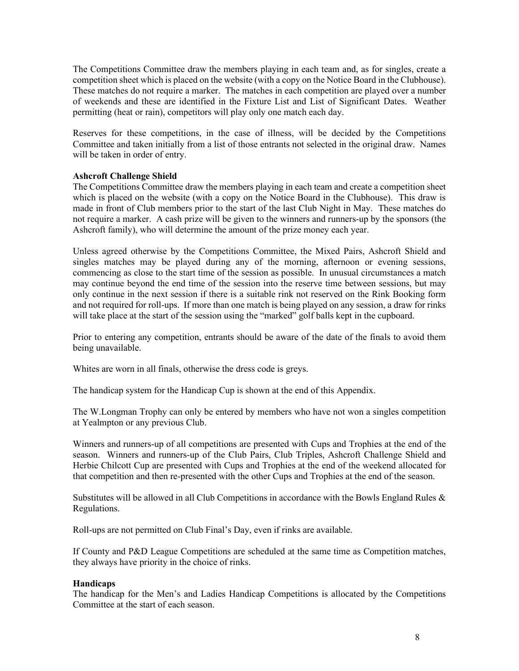The Competitions Committee draw the members playing in each team and, as for singles, create a competition sheet which is placed on the website (with a copy on the Notice Board in the Clubhouse). These matches do not require a marker. The matches in each competition are played over a number of weekends and these are identified in the Fixture List and List of Significant Dates. Weather permitting (heat or rain), competitors will play only one match each day.

Reserves for these competitions, in the case of illness, will be decided by the Competitions Committee and taken initially from a list of those entrants not selected in the original draw. Names will be taken in order of entry.

#### **Ashcroft Challenge Shield**

The Competitions Committee draw the members playing in each team and create a competition sheet which is placed on the website (with a copy on the Notice Board in the Clubhouse). This draw is made in front of Club members prior to the start of the last Club Night in May. These matches do not require a marker. A cash prize will be given to the winners and runners-up by the sponsors (the Ashcroft family), who will determine the amount of the prize money each year.

Unless agreed otherwise by the Competitions Committee, the Mixed Pairs, Ashcroft Shield and singles matches may be played during any of the morning, afternoon or evening sessions, commencing as close to the start time of the session as possible. In unusual circumstances a match may continue beyond the end time of the session into the reserve time between sessions, but may only continue in the next session if there is a suitable rink not reserved on the Rink Booking form and not required for roll-ups. If more than one match is being played on any session, a draw for rinks will take place at the start of the session using the "marked" golf balls kept in the cupboard.

Prior to entering any competition, entrants should be aware of the date of the finals to avoid them being unavailable.

Whites are worn in all finals, otherwise the dress code is greys.

The handicap system for the Handicap Cup is shown at the end of this Appendix.

The W.Longman Trophy can only be entered by members who have not won a singles competition at Yealmpton or any previous Club.

Winners and runners-up of all competitions are presented with Cups and Trophies at the end of the season. Winners and runners-up of the Club Pairs, Club Triples, Ashcroft Challenge Shield and Herbie Chilcott Cup are presented with Cups and Trophies at the end of the weekend allocated for that competition and then re-presented with the other Cups and Trophies at the end of the season.

Substitutes will be allowed in all Club Competitions in accordance with the Bowls England Rules & Regulations.

Roll-ups are not permitted on Club Final's Day, even if rinks are available.

If County and P&D League Competitions are scheduled at the same time as Competition matches, they always have priority in the choice of rinks.

#### **Handicaps**

The handicap for the Men's and Ladies Handicap Competitions is allocated by the Competitions Committee at the start of each season.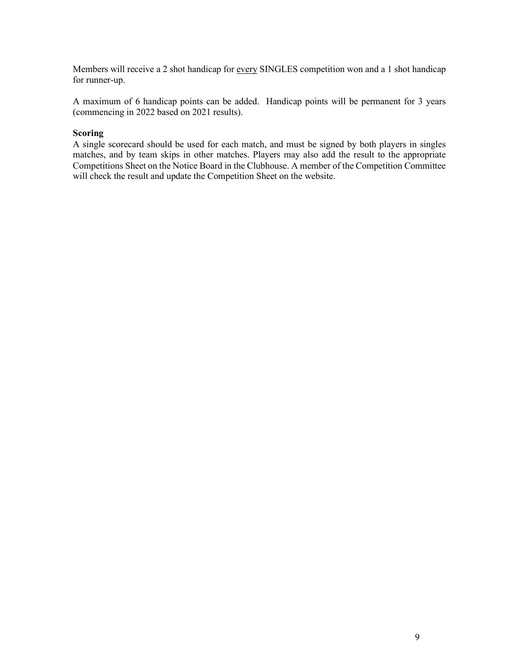Members will receive a 2 shot handicap for every SINGLES competition won and a 1 shot handicap for runner-up.

A maximum of 6 handicap points can be added. Handicap points will be permanent for 3 years (commencing in 2022 based on 2021 results).

#### **Scoring**

A single scorecard should be used for each match, and must be signed by both players in singles matches, and by team skips in other matches. Players may also add the result to the appropriate Competitions Sheet on the Notice Board in the Clubhouse. A member of the Competition Committee will check the result and update the Competition Sheet on the website.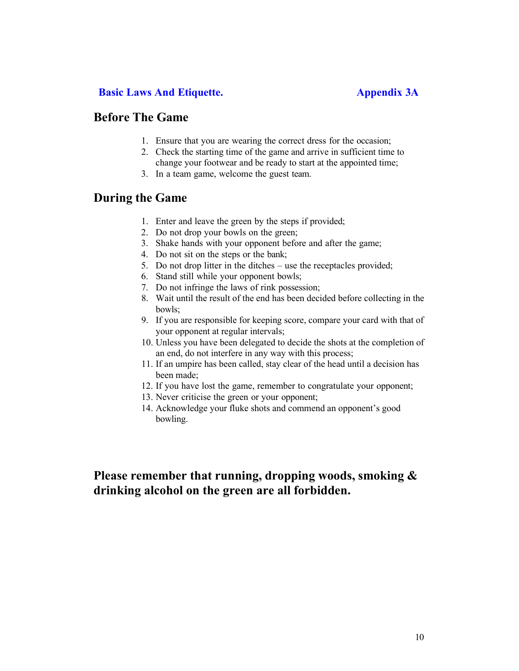# **Basic Laws And Etiquette. Appendix 3A**

# **Before The Game**

- 1. Ensure that you are wearing the correct dress for the occasion;
- 2. Check the starting time of the game and arrive in sufficient time to change your footwear and be ready to start at the appointed time;
- 3. In a team game, welcome the guest team.

# **During the Game**

- 1. Enter and leave the green by the steps if provided;
- 2. Do not drop your bowls on the green;
- 3. Shake hands with your opponent before and after the game;
- 4. Do not sit on the steps or the bank;
- 5. Do not drop litter in the ditches use the receptacles provided;
- 6. Stand still while your opponent bowls;
- 7. Do not infringe the laws of rink possession;
- 8. Wait until the result of the end has been decided before collecting in the bowls;
- 9. If you are responsible for keeping score, compare your card with that of your opponent at regular intervals;
- 10. Unless you have been delegated to decide the shots at the completion of an end, do not interfere in any way with this process;
- 11. If an umpire has been called, stay clear of the head until a decision has been made;
- 12. If you have lost the game, remember to congratulate your opponent;
- 13. Never criticise the green or your opponent;
- 14. Acknowledge your fluke shots and commend an opponent's good bowling.

# **Please remember that running, dropping woods, smoking & drinking alcohol on the green are all forbidden.**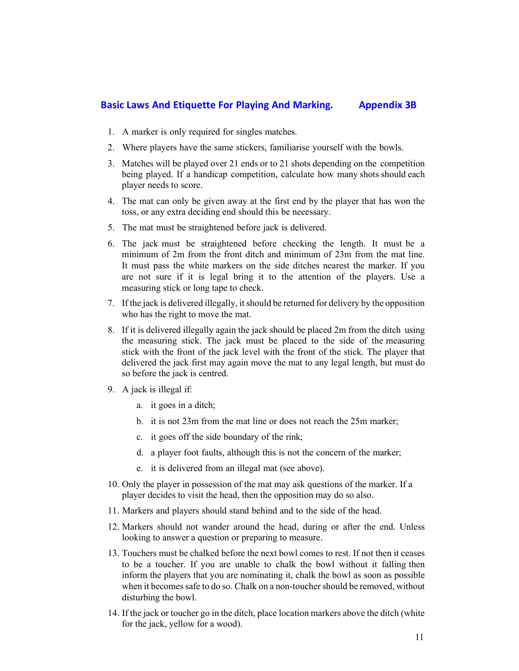# **Basic Laws And Etiquette For Playing And Marking. Appendix 3B**

- 1. A marker is only required for singles matches.
- 2. Where players have the same stickers, familiarise yourself with the bowls.
- 3. Matches will be played over 21 ends or to 21 shots depending on the competition being played. If a handicap competition, calculate how many shots should each player needs to score.
- 4. The mat can only be given away at the first end by the player that has won the toss, or any extra deciding end should this be necessary.
- 5. The mat must be straightened before jack is delivered.
- 6. The jack must be straightened before checking the length. It must be a minimum of 2m from the front ditch and minimum of 23m from the mat line. It must pass the white markers on the side ditches nearest the marker. If you are not sure if it is legal bring it to the attention of the players. Use a measuring stick or long tape to check.
- 7. If the jack is delivered illegally, it should be returned for delivery by the opposition who has the right to move the mat.
- 8. If it is delivered illegally again the jack should be placed 2m from the ditch using the measuring stick. The jack must be placed to the side of the measuring stick with the front of the jack level with the front of the stick. The player that delivered the jack first may again move the mat to any legal length, but must do so before the jack is centred.
- 9. A jack is illegal if:
	- a. it goes in a ditch;
	- b. it is not 23m from the mat line or does not reach the 25m marker;
	- c. it goes off the side boundary of the rink;
	- d. a player foot faults, although this is not the concern of the marker;
	- e. it is delivered from an illegal mat (see above).
- 10. Only the player in possession of the mat may ask questions of the marker. If a player decides to visit the head, then the opposition may do so also.
- 11. Markers and players should stand behind and to the side of the head.
- 12. Markers should not wander around the head, during or after the end. Unless looking to answer a question or preparing to measure.
- 13. Touchers must be chalked before the next bowl comes to rest. If not then it ceases to be a toucher. If you are unable to chalk the bowl without it falling then inform the players that you are nominating it, chalk the bowl as soon as possible when it becomes safe to do so. Chalk on a non-toucher should be removed, without disturbing the bowl.
- 14. If the jack or toucher go in the ditch, place location markers above the ditch (white for the jack, yellow for a wood).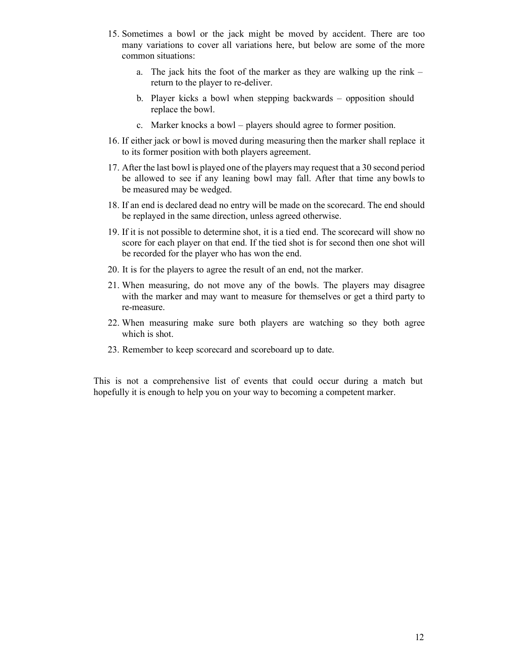- 15. Sometimes a bowl or the jack might be moved by accident. There are too many variations to cover all variations here, but below are some of the more common situations:
	- a. The jack hits the foot of the marker as they are walking up the rink return to the player to re-deliver.
	- b. Player kicks a bowl when stepping backwards opposition should replace the bowl.
	- c. Marker knocks a bowl players should agree to former position.
- 16. If either jack or bowl is moved during measuring then the marker shall replace it to its former position with both players agreement.
- 17. After the last bowl is played one of the players may request that a 30 second period be allowed to see if any leaning bowl may fall. After that time any bowls to be measured may be wedged.
- 18. If an end is declared dead no entry will be made on the scorecard. The end should be replayed in the same direction, unless agreed otherwise.
- 19. If it is not possible to determine shot, it is a tied end. The scorecard will show no score for each player on that end. If the tied shot is for second then one shot will be recorded for the player who has won the end.
- 20. It is for the players to agree the result of an end, not the marker.
- 21. When measuring, do not move any of the bowls. The players may disagree with the marker and may want to measure for themselves or get a third party to re-measure.
- 22. When measuring make sure both players are watching so they both agree which is shot.
- 23. Remember to keep scorecard and scoreboard up to date.

This is not a comprehensive list of events that could occur during a match but hopefully it is enough to help you on your way to becoming a competent marker.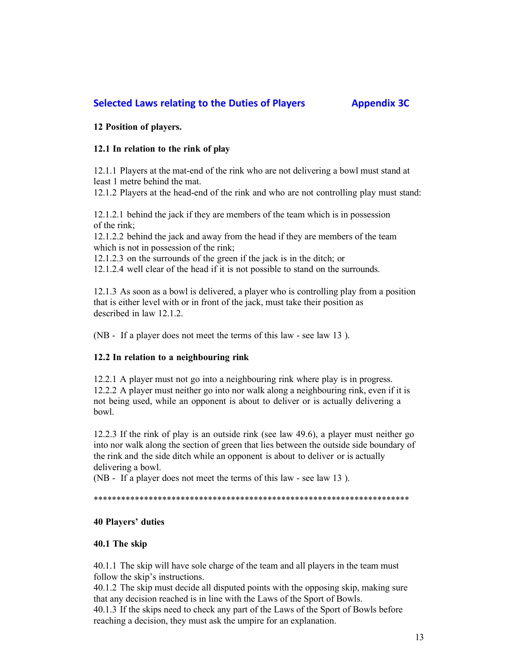# **Selected Laws relating to the Duties of Players Appendix 3C**

**12 Position of players.**

## **12.1 In relation to the rink of play**

12.1.1 Players at the mat-end of the rink who are not delivering a bowl must stand at least 1 metre behind the mat.

12.1.2 Players at the head-end of the rink and who are not controlling play must stand:

12.1.2.1 behind the jack if they are members of the team which is in possession of the rink;

12.1.2.2 behind the jack and away from the head if they are members of the team which is not in possession of the rink;

12.1.2.3 on the surrounds of the green if the jack is in the ditch; or

12.1.2.4 well clear of the head if it is not possible to stand on the surrounds.

12.1.3 As soon as a bowl is delivered, a player who is controlling play from a position that is either level with or in front of the jack, must take their position as described in law 12.1.2.

(NB - If a player does not meet the terms of this law - see law 13 ).

### **12.2 In relation to a neighbouring rink**

12.2.1 A player must not go into a neighbouring rink where play is in progress. 12.2.2 A player must neither go into nor walk along a neighbouring rink, even if it is not being used, while an opponent is about to deliver or is actually delivering a bowl.

12.2.3 If the rink of play is an outside rink (see law 49.6), a player must neither go into nor walk along the section of green that lies between the outside side boundary of the rink and the side ditch while an opponent is about to deliver or is actually delivering a bowl.

(NB - If a player does not meet the terms of this law - see law 13 ).

#### \*\*\*\*\*\*\*\*\*\*\*\*\*\*\*\*\*\*\*\*\*\*\*\*\*\*\*\*\*\*\*\*\*\*\*\*\*\*\*\*\*\*\*\*\*\*\*\*\*\*\*\*\*\*\*\*\*\*\*\*\*\*\*\*\*\*\*\*\*

### **40 Players' duties**

### **40.1 The skip**

40.1.1 The skip will have sole charge of the team and all players in the team must follow the skip's instructions.

40.1.2 The skip must decide all disputed points with the opposing skip, making sure that any decision reached is in line with the Laws of the Sport of Bowls.

40.1.3 If the skips need to check any part of the Laws of the Sport of Bowls before reaching a decision, they must ask the umpire for an explanation.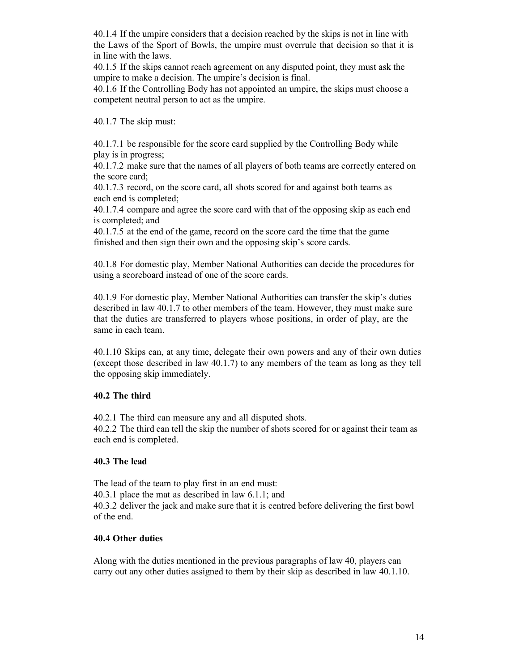40.1.4 If the umpire considers that a decision reached by the skips is not in line with the Laws of the Sport of Bowls, the umpire must overrule that decision so that it is in line with the laws.

40.1.5 If the skips cannot reach agreement on any disputed point, they must ask the umpire to make a decision. The umpire's decision is final.

40.1.6 If the Controlling Body has not appointed an umpire, the skips must choose a competent neutral person to act as the umpire.

40.1.7 The skip must:

40.1.7.1 be responsible for the score card supplied by the Controlling Body while play is in progress;

40.1.7.2 make sure that the names of all players of both teams are correctly entered on the score card;

40.1.7.3 record, on the score card, all shots scored for and against both teams as each end is completed;

40.1.7.4 compare and agree the score card with that of the opposing skip as each end is completed; and

40.1.7.5 at the end of the game, record on the score card the time that the game finished and then sign their own and the opposing skip's score cards.

40.1.8 For domestic play, Member National Authorities can decide the procedures for using a scoreboard instead of one of the score cards.

40.1.9 For domestic play, Member National Authorities can transfer the skip's duties described in law 40.1.7 to other members of the team. However, they must make sure that the duties are transferred to players whose positions, in order of play, are the same in each team.

40.1.10 Skips can, at any time, delegate their own powers and any of their own duties (except those described in law 40.1.7) to any members of the team as long as they tell the opposing skip immediately.

### **40.2 The third**

40.2.1 The third can measure any and all disputed shots.

40.2.2 The third can tell the skip the number of shots scored for or against their team as each end is completed.

#### **40.3 The lead**

The lead of the team to play first in an end must: 40.3.1 place the mat as described in law 6.1.1; and 40.3.2 deliver the jack and make sure that it is centred before delivering the first bowl of the end.

### **40.4 Other duties**

Along with the duties mentioned in the previous paragraphs of law 40, players can carry out any other duties assigned to them by their skip as described in law 40.1.10.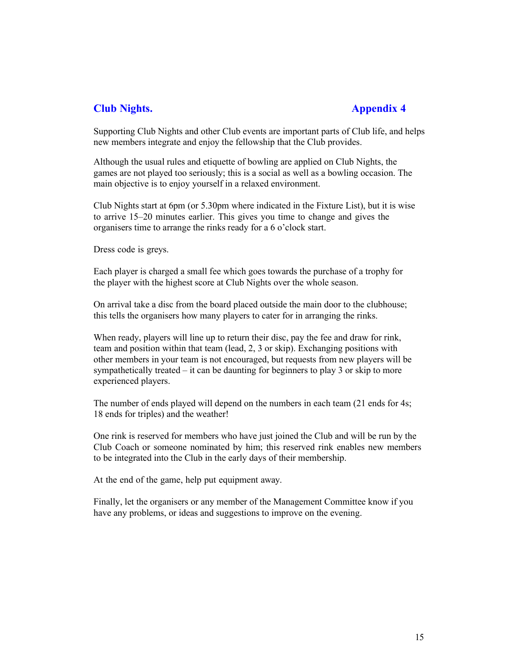# **Club Nights. Appendix 4**

Supporting Club Nights and other Club events are important parts of Club life, and helps new members integrate and enjoy the fellowship that the Club provides.

Although the usual rules and etiquette of bowling are applied on Club Nights, the games are not played too seriously; this is a social as well as a bowling occasion. The main objective is to enjoy yourself in a relaxed environment.

Club Nights start at 6pm (or 5.30pm where indicated in the Fixture List), but it is wise to arrive 15–20 minutes earlier. This gives you time to change and gives the organisers time to arrange the rinks ready for a 6 o'clock start.

Dress code is greys.

Each player is charged a small fee which goes towards the purchase of a trophy for the player with the highest score at Club Nights over the whole season.

On arrival take a disc from the board placed outside the main door to the clubhouse; this tells the organisers how many players to cater for in arranging the rinks.

When ready, players will line up to return their disc, pay the fee and draw for rink, team and position within that team (lead, 2, 3 or skip). Exchanging positions with other members in your team is not encouraged, but requests from new players will be sympathetically treated – it can be daunting for beginners to play 3 or skip to more experienced players.

The number of ends played will depend on the numbers in each team (21 ends for 4s; 18 ends for triples) and the weather!

One rink is reserved for members who have just joined the Club and will be run by the Club Coach or someone nominated by him; this reserved rink enables new members to be integrated into the Club in the early days of their membership.

At the end of the game, help put equipment away.

Finally, let the organisers or any member of the Management Committee know if you have any problems, or ideas and suggestions to improve on the evening.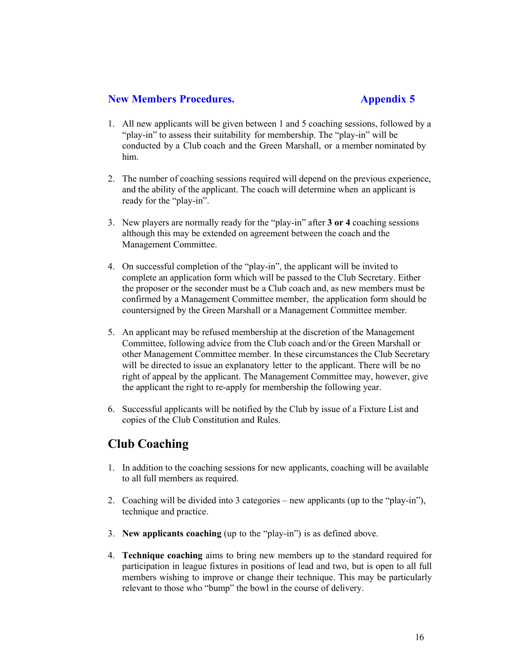# **New Members Procedures. Appendix 5**

- 1. All new applicants will be given between 1 and 5 coaching sessions, followed by a "play-in" to assess their suitability for membership. The "play-in" will be conducted by a Club coach and the Green Marshall, or a member nominated by him.
- 2. The number of coaching sessions required will depend on the previous experience, and the ability of the applicant. The coach will determine when an applicant is ready for the "play-in".
- 3. New players are normally ready for the "play-in" after **3 or 4** coaching sessions although this may be extended on agreement between the coach and the Management Committee.
- 4. On successful completion of the "play-in", the applicant will be invited to complete an application form which will be passed to the Club Secretary. Either the proposer or the seconder must be a Club coach and, as new members must be confirmed by a Management Committee member, the application form should be countersigned by the Green Marshall or a Management Committee member.
- 5. An applicant may be refused membership at the discretion of the Management Committee, following advice from the Club coach and/or the Green Marshall or other Management Committee member. In these circumstances the Club Secretary will be directed to issue an explanatory letter to the applicant. There will be no right of appeal by the applicant. The Management Committee may, however, give the applicant the right to re-apply for membership the following year.
- 6. Successful applicants will be notified by the Club by issue of a Fixture List and copies of the Club Constitution and Rules.

# **Club Coaching**

- 1. In addition to the coaching sessions for new applicants, coaching will be available to all full members as required.
- 2. Coaching will be divided into 3 categories new applicants (up to the "play-in"), technique and practice.
- 3. **New applicants coaching** (up to the "play-in") is as defined above.
- 4. **Technique coaching** aims to bring new members up to the standard required for participation in league fixtures in positions of lead and two, but is open to all full members wishing to improve or change their technique. This may be particularly relevant to those who "bump" the bowl in the course of delivery.